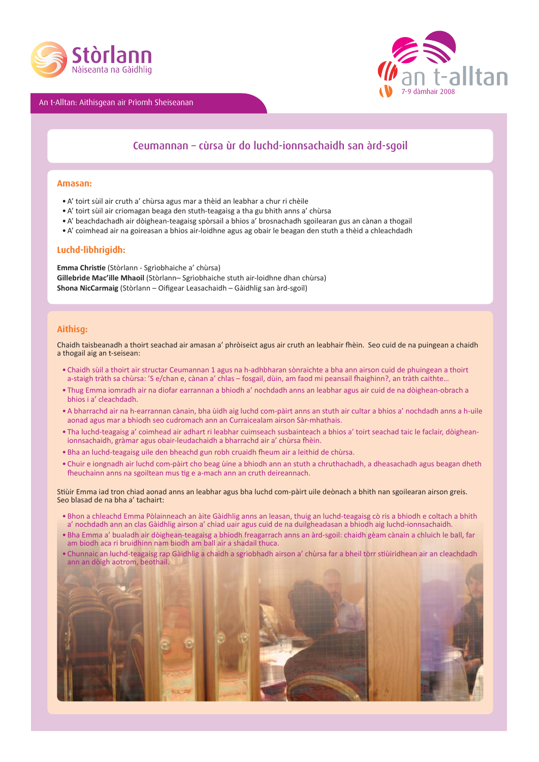

An t-Alltan: Aithisgean air Prìomh Sheiseanan



# Ceumannan – cùrsa ùr do luchd-ionnsachaidh san àrd-sgoil

#### **Amasan:**

- A' toirt sùil air cruth a' chùrsa agus mar a thèid an leabhar a chur ri chèile
- A' toirt sùil air criomagan beaga den stuth-teagaisg a tha gu bhith anns a' chùrsa
- A' beachdachadh air dòighean-teagaisg spòrsail a bhios a' brosnachadh sgoilearan gus an cànan a thogail
- A' coimhead air na goireasan a bhios air-loidhne agus ag obair le beagan den stuth a thèid a chleachdadh

### **Luchd-lìbhrigidh:**

**Emma Christi e** (Stòrlann - Sgrìobhaiche a' chùrsa) **Gillebrìde Mac'ille Mhaoil** (Stòrlann– Sgrìobhaiche stuth air-loidhne dhan chùrsa) Shona NicCarmaig (Stòrlann – Oifigear Leasachaidh – Gàidhlig san àrd-sgoil)

#### **Aithisg:**

Chaidh taisbeanadh a thoirt seachad air amasan a' phròiseict agus air cruth an leabhair fhèin. Seo cuid de na puingean a chaidh a thogail aig an t-seisean:

- Chaidh sùil a thoirt air structar Ceumannan 1 agus na h-adhbharan sònraichte a bha ann airson cuid de phuingean a thoirt a-staigh tràth sa chùrsa: 'S e/chan e, cànan a' chlas – fosgail, dùin, am faod mi peansail fhaighinn?, an tràth caithte...
- Thug Emma iomradh air na diofar earrannan a bhiodh a' nochdadh anns an leabhar agus air cuid de na dòighean-obrach a bhios i a' cleachdadh.
- A bharrachd air na h-earrannan cànain, bha ùidh aig luchd com-pàirt anns an stuth air cultar a bhios a' nochdadh anns a h-uile aonad agus mar a bhiodh seo cudromach ann an Curraicealam airson Sàr-mhathais.
- Tha luchd-teagaisg a' coimhead air adhart ri leabhar cuimseach susbainteach a bhios a' toirt seachad taic le faclair, dòigheanionnsachaidh, gràmar agus obair-leudachaidh a bharrachd air a' chùrsa fhèin.
- Bha an luchd-teagaisg uile den bheachd gun robh cruaidh fheum air a leithid de chùrsa.
- Chuir e iongnadh air luchd com-pàirt cho beag ùine a bhiodh ann an stuth a chruthachadh, a dheasachadh agus beagan dheth fheuchainn anns na sgoiltean mus tig e a-mach ann an cruth deireannach.

Stiùir Emma iad tron chiad aonad anns an leabhar agus bha luchd com-pàirt uile deònach a bhith nan sgoilearan airson greis. Seo blasad de na bha a' tachairt:

- Bhon a chleachd Emma Pòlainneach an àite Gàidhlig anns an leasan, thuig an luchd-teagaisg cò ris a bhiodh e coltach a bhith a' nochdadh ann an clas Gàidhlig airson a' chiad uair agus cuid de na duilgheadasan a bhiodh aig luchd-ionnsachaidh.
- Bha Emma a' bualadh air dòighean-teagaisg a bhiodh freagarrach anns an àrd-sgoil: chaidh gèam cànain a chluich le ball, far am biodh aca ri bruidhinn nam biodh am ball air a shadail thuca.
- Chunnaic an luchd-teagaisg rap Gàidhlig a chaidh a sgrìobhadh airson a' chùrsa far a bheil tòrr sti ùiridhean air an cleachdadh ann an dòigh aotrom, beothail.